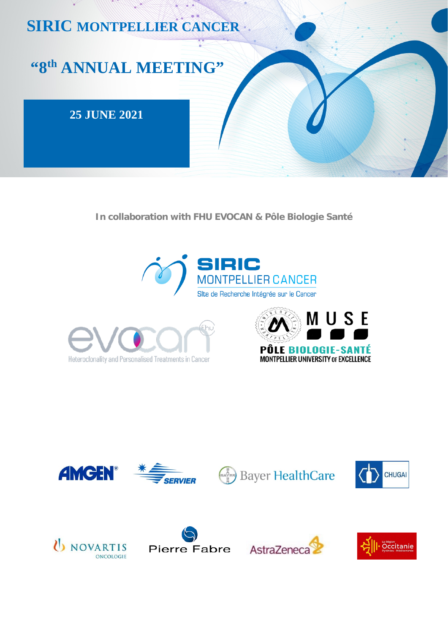# **SIRIC MONTPELLIER CANCER**

# "8th ANNUAL MEETING"

# **25 JUNE 2021**

In collaboration with FHU EVOCAN & Pôle Biologie Santé















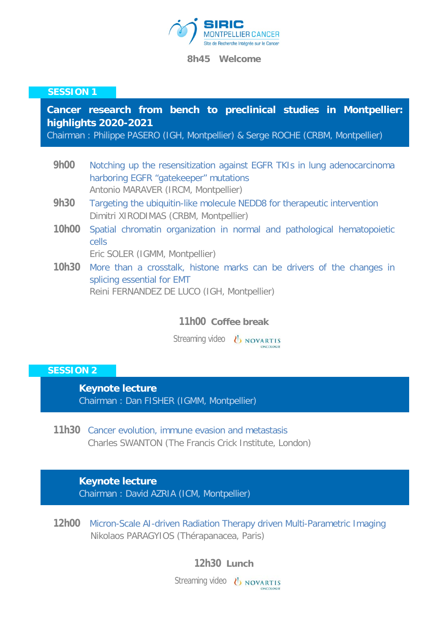

**8h45 Welcome** 

#### **SESSION 1**

# **Cancer research from bench to preclinical studies in Montpellier: highlights 2020-2021**

Chairman : Philippe PASERO (IGH, Montpellier) & Serge ROCHE (CRBM, Montpellier)

- **9h00** Notching up the resensitization against EGFR TKIs in lung adenocarcinoma harboring EGFR "gatekeeper" mutations Antonio MARAVER (IRCM, Montpellier)
- **9h30** Targeting the ubiquitin-like molecule NEDD8 for therapeutic intervention Dimitri XIRODIMAS (CRBM, Montpellier)
- **10h00** Spatial chromatin organization in normal and pathological hematopoietic cells

Eric SOLER (IGMM, Montpellier)

**10h30** More than a crosstalk, histone marks can be drivers of the changes in splicing essential for EMT Reini FERNANDEZ DE LUCO (IGH, Montpellier)

## **11h00 Coffee break**

Streaming video *b* **NOVARTIS** 

## **SESSION 2**

**Keynote lecture**  Chairman : Dan FISHER (IGMM, Montpellier)

**11h30** Cancer evolution, immune evasion and metastasis Charles SWANTON (The Francis Crick Institute, London)

**Keynote lecture** 

Chairman : David AZRIA (ICM, Montpellier)

**12h00** Micron-Scale AI-driven Radiation Therapy driven Multi-Parametric Imaging Nikolaos PARAGYIOS (Thérapanacea, Paris)

**12h30 Lunch**

Streaming video *b* **NOVARTIS**